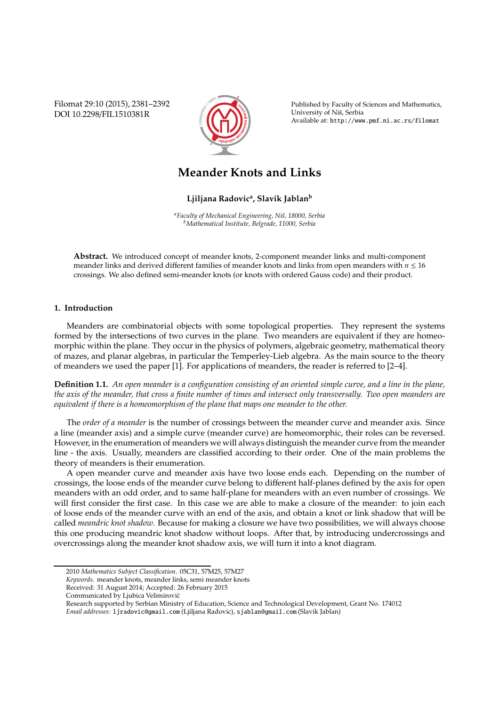Filomat 29:10 (2015), 2381–2392 DOI 10.2298/FIL1510381R



Published by Faculty of Sciences and Mathematics, University of Niš, Serbia Available at: http://www.pmf.ni.ac.rs/filomat

# **Meander Knots and Links**

# **Ljiljana Radovic<sup>a</sup> , Slavik Jablan<sup>b</sup>**

*<sup>a</sup>Faculty of Mechanical Engineering, Niˇs, 18000, Serbia <sup>b</sup>Mathematical Institute, Belgrade, 11000, Serbia*

**Abstract.** We introduced concept of meander knots, 2-component meander links and multi-component meander links and derived different families of meander knots and links from open meanders with *n* ≤ 16 crossings. We also defined semi-meander knots (or knots with ordered Gauss code) and their product.

# **1. Introduction**

Meanders are combinatorial objects with some topological properties. They represent the systems formed by the intersections of two curves in the plane. Two meanders are equivalent if they are homeomorphic within the plane. They occur in the physics of polymers, algebraic geometry, mathematical theory of mazes, and planar algebras, in particular the Temperley-Lieb algebra. As the main source to the theory of meanders we used the paper [1]. For applications of meanders, the reader is referred to [2–4].

**Definition 1.1.** *An open meander is a configuration consisting of an oriented simple curve, and a line in the plane, the axis of the meander, that cross a finite number of times and intersect only transversally. Two open meanders are equivalent if there is a homeomorphism of the plane that maps one meander to the other.*

The *order of a meander* is the number of crossings between the meander curve and meander axis. Since a line (meander axis) and a simple curve (meander curve) are homeomorphic, their roles can be reversed. However, in the enumeration of meanders we will always distinguish the meander curve from the meander line - the axis. Usually, meanders are classified according to their order. One of the main problems the theory of meanders is their enumeration.

A open meander curve and meander axis have two loose ends each. Depending on the number of crossings, the loose ends of the meander curve belong to different half-planes defined by the axis for open meanders with an odd order, and to same half-plane for meanders with an even number of crossings. We will first consider the first case. In this case we are able to make a closure of the meander: to join each of loose ends of the meander curve with an end of the axis, and obtain a knot or link shadow that will be called *meandric knot shadow*. Because for making a closure we have two possibilities, we will always choose this one producing meandric knot shadow without loops. After that, by introducing undercrossings and overcrossings along the meander knot shadow axis, we will turn it into a knot diagram.

<sup>2010</sup> *Mathematics Subject Classification*. 05C31, 57M25, 57M27

*Keywords*. meander knots, meander links, semi meander knots

Received: 31 August 2014; Accepted: 26 February 2015

Communicated by Ljubica Velimirović

Research supported by Serbian Ministry of Education, Science and Technological Development, Grant No. 174012 *Email addresses:* ljradovic@gmail.com (Ljiljana Radovic), sjablan@gmail.com (Slavik Jablan)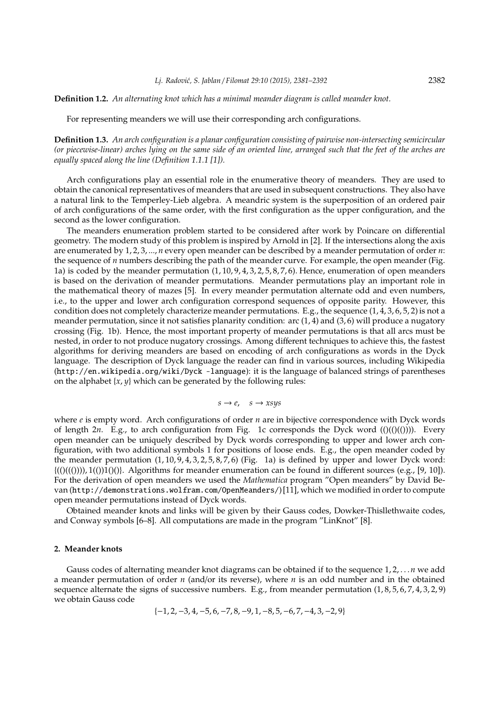### **Definition 1.2.** *An alternating knot which has a minimal meander diagram is called meander knot.*

For representing meanders we will use their corresponding arch configurations.

**Definition 1.3.** *An arch configuration is a planar configuration consisting of pairwise non-intersecting semicircular (or piecewise-linear) arches lying on the same side of an oriented line, arranged such that the feet of the arches are equally spaced along the line (Definition 1.1.1 [1]).*

Arch configurations play an essential role in the enumerative theory of meanders. They are used to obtain the canonical representatives of meanders that are used in subsequent constructions. They also have a natural link to the Temperley-Lieb algebra. A meandric system is the superposition of an ordered pair of arch configurations of the same order, with the first configuration as the upper configuration, and the second as the lower configuration.

The meanders enumeration problem started to be considered after work by Poincare on differential geometry. The modern study of this problem is inspired by Arnold in [2]. If the intersections along the axis are enumerated by 1, 2, 3, ..., *n* every open meander can be described by a meander permutation of order *n*: the sequence of *n* numbers describing the path of the meander curve. For example, the open meander (Fig. 1a) is coded by the meander permutation  $(1, 10, 9, 4, 3, 2, 5, 8, 7, 6)$ . Hence, enumeration of open meanders is based on the derivation of meander permutations. Meander permutations play an important role in the mathematical theory of mazes [5]. In every meander permutation alternate odd and even numbers, i.e., to the upper and lower arch configuration correspond sequences of opposite parity. However, this condition does not completely characterize meander permutations. E.g., the sequence (1, 4, 3, 6, 5, 2) is not a meander permutation, since it not satisfies planarity condition: arc  $(1, 4)$  and  $(3, 6)$  will produce a nugatory crossing (Fig. 1b). Hence, the most important property of meander permutations is that all arcs must be nested, in order to not produce nugatory crossings. Among different techniques to achieve this, the fastest algorithms for deriving meanders are based on encoding of arch configurations as words in the Dyck language. The description of Dyck language the reader can find in various sources, including Wikipedia (http://en.wikipedia.org/wiki/Dyck -language): it is the language of balanced strings of parentheses on the alphabet  $\{x, y\}$  which can be generated by the following rules:

$$
s \to e, \quad s \to xsys
$$

where *e* is empty word. Arch configurations of order *n* are in bijective correspondence with Dyck words of length 2*n*. E.g., to arch configuration from Fig. 1c corresponds the Dyck word  $(()()())))$ . Every open meander can be uniquely described by Dyck words corresponding to upper and lower arch configuration, with two additional symbols 1 for positions of loose ends. E.g., the open meander coded by the meander permutation (1, 10, 9, 4, 3, 2, 5, 8, 7, 6) (Fig. 1a) is defined by upper and lower Dyck word:  ${(((()))}\,, 1(())1(())$ . Algorithms for meander enumeration can be found in different sources (e.g., [9, 10]). For the derivation of open meanders we used the *Mathematica* program "Open meanders" by David Bevan (http://demonstrations.wolfram.com/OpenMeanders/) [11], which we modified in order to compute open meander permutations instead of Dyck words.

Obtained meander knots and links will be given by their Gauss codes, Dowker-Thisllethwaite codes, and Conway symbols [6–8]. All computations are made in the program "LinKnot" [8].

### **2. Meander knots**

Gauss codes of alternating meander knot diagrams can be obtained if to the sequence 1, 2, . . .*n* we add a meander permutation of order *n* (and/or its reverse), where *n* is an odd number and in the obtained sequence alternate the signs of successive numbers. E.g., from meander permutation  $(1, 8, 5, 6, 7, 4, 3, 2, 9)$ we obtain Gauss code

 $\{-1, 2, -3, 4, -5, 6, -7, 8, -9, 1, -8, 5, -6, 7, -4, 3, -2, 9\}$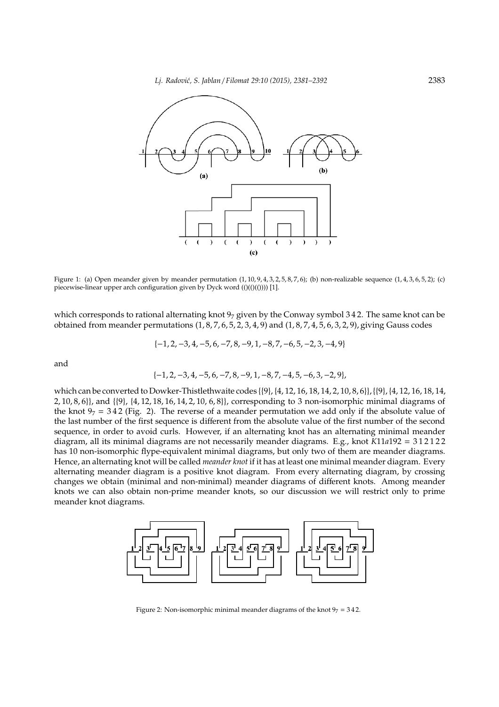*Lj. Radovi´c, S. Jablan* / *Filomat 29:10 (2015), 2381–2392* 2383



Figure 1: (a) Open meander given by meander permutation  $(1, 10, 9, 4, 3, 2, 5, 8, 7, 6)$ ; (b) non-realizable sequence  $(1, 4, 3, 6, 5, 2)$ ; (c) piecewise-linear upper arch configuration given by Dyck word  $(()((())$ ) $[1]$ .

which corresponds to rational alternating knot  $9<sub>7</sub>$  given by the Conway symbol 342. The same knot can be obtained from meander permutations  $(1, 8, 7, 6, 5, 2, 3, 4, 9)$  and  $(1, 8, 7, 4, 5, 6, 3, 2, 9)$ , giving Gauss codes

$$
\{-1, 2, -3, 4, -5, 6, -7, 8, -9, 1, -8, 7, -6, 5, -2, 3, -4, 9\}
$$

and

$$
\{-1, 2, -3, 4, -5, 6, -7, 8, -9, 1, -8, 7, -4, 5, -6, 3, -2, 9\},\
$$

which can be converted to Dowker-Thistlethwaite codes {{9}, {4, 12, 16, 18, 14, 2, 10, 8, 6}},{{9}, {4, 12, 16, 18, 14, 2, 10, 8, 6}}, and {{9}, {4, 12, 18, 16, 14, 2, 10, 6, 8}}, corresponding to 3 non-isomorphic minimal diagrams of the knot  $97 = 342$  (Fig. 2). The reverse of a meander permutation we add only if the absolute value of the last number of the first sequence is different from the absolute value of the first number of the second sequence, in order to avoid curls. However, if an alternating knot has an alternating minimal meander diagram, all its minimal diagrams are not necessarily meander diagrams. E.g., knot *K*11*a*192 = 3 1 2 1 2 2 has 10 non-isomorphic flype-equivalent minimal diagrams, but only two of them are meander diagrams. Hence, an alternating knot will be called *meander knot* if it has at least one minimal meander diagram. Every alternating meander diagram is a positive knot diagram. From every alternating diagram, by crossing changes we obtain (minimal and non-minimal) meander diagrams of different knots. Among meander knots we can also obtain non-prime meander knots, so our discussion we will restrict only to prime meander knot diagrams.



Figure 2: Non-isomorphic minimal meander diagrams of the knot  $97 = 342$ .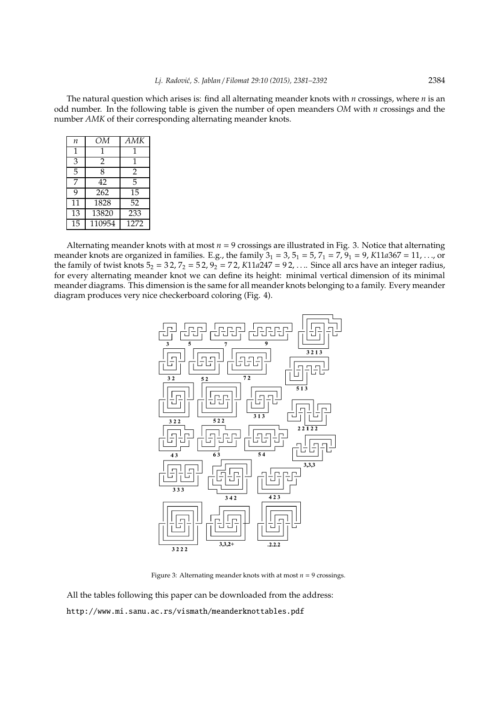The natural question which arises is: find all alternating meander knots with *n* crossings, where *n* is an odd number. In the following table is given the number of open meanders *OM* with *n* crossings and the number *AMK* of their corresponding alternating meander knots.

| n               | ОМ     | AMK            |
|-----------------|--------|----------------|
| 1               | 1      | 1              |
| $\overline{3}$  | 2      | 1              |
| $\overline{5}$  | 8      | $\overline{2}$ |
| 7               | 42     | 5              |
| 9               | 262    | 15             |
| 11              | 1828   | 52             |
| $\overline{13}$ | 13820  | 233            |
| 15              | 110954 | 1272           |

Alternating meander knots with at most  $n = 9$  crossings are illustrated in Fig. 3. Notice that alternating meander knots are organized in families. E.g., the family  $3_1 = 3$ ,  $5_1 = 5$ ,  $7_1 = 7$ ,  $9_1 = 9$ ,  $K11a367 = 11$ , ..., or the family of twist knots  $5_2 = 32$ ,  $7_2 = 52$ ,  $9_2 = 72$ ,  $K11a247 = 92$ , ... Since all arcs have an integer radius, for every alternating meander knot we can define its height: minimal vertical dimension of its minimal meander diagrams. This dimension is the same for all meander knots belonging to a family. Every meander diagram produces very nice checkerboard coloring (Fig. 4).



Figure 3: Alternating meander knots with at most  $n = 9$  crossings.

All the tables following this paper can be downloaded from the address: http://www.mi.sanu.ac.rs/vismath/meanderknottables.pdf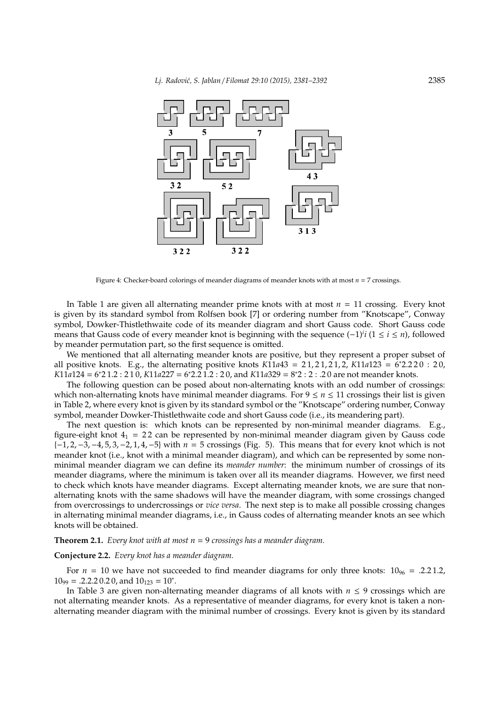

Figure 4: Checker-board colorings of meander diagrams of meander knots with at most *n* = 7 crossings.

In Table 1 are given all alternating meander prime knots with at most *n* = 11 crossing. Every knot is given by its standard symbol from Rolfsen book [7] or ordering number from "Knotscape", Conway symbol, Dowker-Thistlethwaite code of its meander diagram and short Gauss code. Short Gauss code means that Gauss code of every meander knot is beginning with the sequence (−1)*<sup>i</sup> i* (1 ≤ *i* ≤ *n*), followed by meander permutation part, so the first sequence is omitted.

We mentioned that all alternating meander knots are positive, but they represent a proper subset of all positive knots. E.g., the alternating positive knots  $K11a43 = 21, 21, 21, 2$ ,  $K11a123 = 6*2.220 : 20$ , *K*11*a*124 = 6<sup>\*</sup>21.2 : 210, *K*11*a*227 = 6<sup>\*</sup>2.21.2 : 20, and *K*11*a*329 = 8<sup>\*</sup>2 : 2 : .20 are not meander knots.

The following question can be posed about non-alternating knots with an odd number of crossings: which non-alternating knots have minimal meander diagrams. For  $9 \le n \le 11$  crossings their list is given in Table 2, where every knot is given by its standard symbol or the "Knotscape" ordering number, Conway symbol, meander Dowker-Thistlethwaite code and short Gauss code (i.e., its meandering part).

The next question is: which knots can be represented by non-minimal meander diagrams. E.g., figure-eight knot  $4_1 = 22$  can be represented by non-minimal meander diagram given by Gauss code {−1, 2, −3, −4, 5, 3,−2, 1, 4,−5} with *n* = 5 crossings (Fig. 5). This means that for every knot which is not meander knot (i.e., knot with a minimal meander diagram), and which can be represented by some nonminimal meander diagram we can define its *meander number*: the minimum number of crossings of its meander diagrams, where the minimum is taken over all its meander diagrams. However, we first need to check which knots have meander diagrams. Except alternating meander knots, we are sure that nonalternating knots with the same shadows will have the meander diagram, with some crossings changed from overcrossings to undercrossings or *vice versa*. The next step is to make all possible crossing changes in alternating minimal meander diagrams, i.e., in Gauss codes of alternating meander knots an see which knots will be obtained.

**Theorem 2.1.** *Every knot with at most n* = 9 *crossings has a meander diagram.*

## **Conjecture 2.2.** *Every knot has a meander diagram.*

For  $n = 10$  we have not succeeded to find meander diagrams for only three knots:  $10_{96} = .2.21.2$ ,  $10_{99} = .2.2.2 0.2 0$ , and  $10_{123} = 10^*$ .

In Table 3 are given non-alternating meander diagrams of all knots with  $n \leq 9$  crossings which are not alternating meander knots. As a representative of meander diagrams, for every knot is taken a nonalternating meander diagram with the minimal number of crossings. Every knot is given by its standard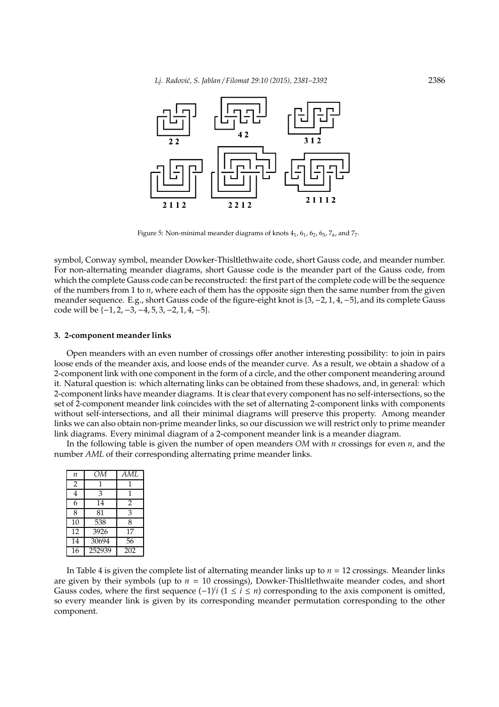

Figure 5: Non-minimal meander diagrams of knots  $4<sub>1</sub>$ ,  $6<sub>1</sub>$ ,  $6<sub>2</sub>$ ,  $6<sub>3</sub>$ ,  $7<sub>6</sub>$ , and  $7<sub>7</sub>$ .

symbol, Conway symbol, meander Dowker-Thisltlethwaite code, short Gauss code, and meander number. For non-alternating meander diagrams, short Gausse code is the meander part of the Gauss code, from which the complete Gauss code can be reconstructed: the first part of the complete code will be the sequence of the numbers from 1 to *n*, where each of them has the opposite sign then the same number from the given meander sequence. E.g., short Gauss code of the figure-eight knot is {3, −2, 1, 4, −5}, and its complete Gauss code will be {−1, 2, −3, −4, 5, 3, −2, 1, 4, −5}.

### **3. 2-component meander links**

Open meanders with an even number of crossings offer another interesting possibility: to join in pairs loose ends of the meander axis, and loose ends of the meander curve. As a result, we obtain a shadow of a 2-component link with one component in the form of a circle, and the other component meandering around it. Natural question is: which alternating links can be obtained from these shadows, and, in general: which 2-component links have meander diagrams. It is clear that every component has no self-intersections, so the set of 2-component meander link coincides with the set of alternating 2-component links with components without self-intersections, and all their minimal diagrams will preserve this property. Among meander links we can also obtain non-prime meander links, so our discussion we will restrict only to prime meander link diagrams. Every minimal diagram of a 2-component meander link is a meander diagram.

In the following table is given the number of open meanders *OM* with *n* crossings for even *n*, and the number *AML* of their corresponding alternating prime meander links.

| $\boldsymbol{n}$ | ОМ     | AML            |
|------------------|--------|----------------|
| $\overline{2}$   |        | 1              |
| 4                | 3      | 1              |
| 6                | 14     | $\overline{2}$ |
| 8                | 81     | 3              |
| $\overline{10}$  | 538    | 8              |
| $\overline{12}$  | 3926   | 17             |
| $\overline{14}$  | 30694  | 56             |
| 16               | 252939 | 202            |

In Table 4 is given the complete list of alternating meander links up to *n* = 12 crossings. Meander links are given by their symbols (up to *n* = 10 crossings), Dowker-Thisltlethwaite meander codes, and short Gauss codes, where the first sequence (−1)*<sup>i</sup> i* (1 ≤ *i* ≤ *n*) corresponding to the axis component is omitted, so every meander link is given by its corresponding meander permutation corresponding to the other component.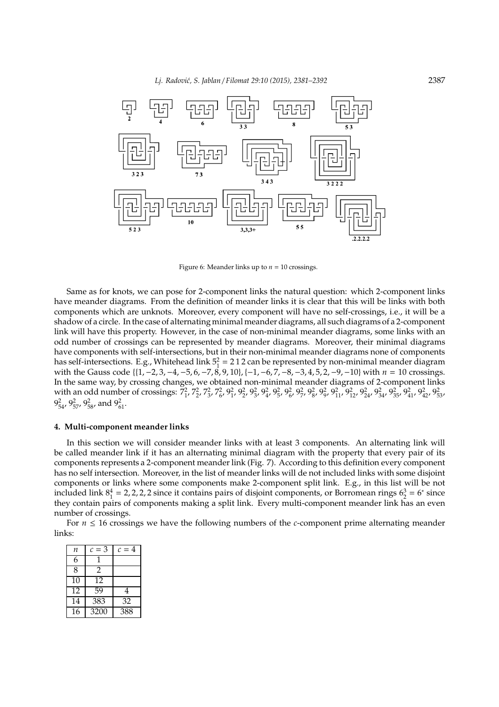

Figure 6: Meander links up to  $n = 10$  crossings.

Same as for knots, we can pose for 2-component links the natural question: which 2-component links have meander diagrams. From the definition of meander links it is clear that this will be links with both components which are unknots. Moreover, every component will have no self-crossings, i.e., it will be a shadow of a circle. In the case of alternating minimal meander diagrams, all such diagrams of a 2-component link will have this property. However, in the case of non-minimal meander diagrams, some links with an odd number of crossings can be represented by meander diagrams. Moreover, their minimal diagrams have components with self-intersections, but in their non-minimal meander diagrams none of components has self-intersections. E.g., Whitehead link  $5^2 = 212$  can be represented by non-minimal meander diagram with the Gauss code {{1, −2, 3, −4, −5, 6, −7, 8, 9, 10}, {−1,−6, 7, −8, −3, 4, 5, 2, −9,−10} with *n* = 10 crossings. In the same way, by crossing changes, we obtained non-minimal meander diagrams of 2-component links with an odd number of crossings:  $7^2_1$ ,  $7^2_2$ ,  $7^2_3$ ,  $7^2_6$ ,  $9^2_1$ ,  $9^2_2$ ,  $9^2_3$ ,  $9^2_4$ ,  $9^2_5$ ,  $9^2_6$ ,  $9^2_7$ ,  $9^2_8$ ,  $9^2_9$ ,  $9^2_1$ ,  $9^2_1$ ,  $9^2_{12}$ ,  $9^2_{24}$ ,  $9^2_{34}$ ,  $9^2_{35}$ ,  $9^2_{41}$  $9_{54}^2$ ,  $9_{57}^2$ ,  $9_{58}^2$ , and  $9_{61}^2$ .

## **4. Multi-component meander links**

In this section we will consider meander links with at least 3 components. An alternating link will be called meander link if it has an alternating minimal diagram with the property that every pair of its components represents a 2-component meander link (Fig. 7). According to this definition every component has no self intersection. Moreover, in the list of meander links will de not included links with some disjoint components or links where some components make 2-component split link. E.g., in this list will be not included link  $8^4 = 2, 2, 2, 2$  since it contains pairs of disjoint components, or Borromean rings  $6^3 = 6$  since they contain pairs of components making a split link. Every multi-component meander link has an even number of crossings.

For  $n \leq 16$  crossings we have the following numbers of the *c*-component prime alternating meander links:

| п               | $c=3$ | $c=4$ |
|-----------------|-------|-------|
| 6               |       |       |
| 8               | 2     |       |
| $\overline{1}0$ | 12    |       |
| 12              | 59    | 4     |
| 14              | 383   | 32    |
| 16              | 3200  | 388   |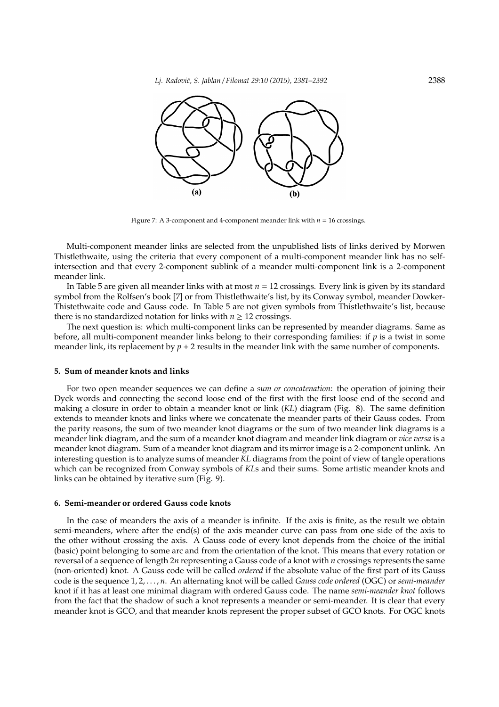

Figure 7: A 3-component and 4-component meander link with *n* = 16 crossings.

Multi-component meander links are selected from the unpublished lists of links derived by Morwen Thistlethwaite, using the criteria that every component of a multi-component meander link has no selfintersection and that every 2-component sublink of a meander multi-component link is a 2-component meander link.

In Table 5 are given all meander links with at most *n* = 12 crossings. Every link is given by its standard symbol from the Rolfsen's book [7] or from Thistlethwaite's list, by its Conway symbol, meander Dowker-Thistethwaite code and Gauss code. In Table 5 are not given symbols from Thistlethwaite's list, because there is no standardized notation for links with  $n \geq 12$  crossings.

The next question is: which multi-component links can be represented by meander diagrams. Same as before, all multi-component meander links belong to their corresponding families: if *p* is a twist in some meander link, its replacement by  $p + 2$  results in the meander link with the same number of components.

#### **5. Sum of meander knots and links**

For two open meander sequences we can define a *sum or concatenation*: the operation of joining their Dyck words and connecting the second loose end of the first with the first loose end of the second and making a closure in order to obtain a meander knot or link (*KL*) diagram (Fig. 8). The same definition extends to meander knots and links where we concatenate the meander parts of their Gauss codes. From the parity reasons, the sum of two meander knot diagrams or the sum of two meander link diagrams is a meander link diagram, and the sum of a meander knot diagram and meander link diagram or *vice versa* is a meander knot diagram. Sum of a meander knot diagram and its mirror image is a 2-component unlink. An interesting question is to analyze sums of meander *KL* diagrams from the point of view of tangle operations which can be recognized from Conway symbols of *KL*s and their sums. Some artistic meander knots and links can be obtained by iterative sum (Fig. 9).

#### **6. Semi-meander or ordered Gauss code knots**

In the case of meanders the axis of a meander is infinite. If the axis is finite, as the result we obtain semi-meanders, where after the end(s) of the axis meander curve can pass from one side of the axis to the other without crossing the axis. A Gauss code of every knot depends from the choice of the initial (basic) point belonging to some arc and from the orientation of the knot. This means that every rotation or reversal of a sequence of length 2*n* representing a Gauss code of a knot with *n* crossings represents the same (non-oriented) knot. A Gauss code will be called *ordered* if the absolute value of the first part of its Gauss code is the sequence 1, 2, . . . , *n*. An alternating knot will be called *Gauss code ordered* (OGC) or *semi-meander* knot if it has at least one minimal diagram with ordered Gauss code. The name *semi-meander knot* follows from the fact that the shadow of such a knot represents a meander or semi-meander. It is clear that every meander knot is GCO, and that meander knots represent the proper subset of GCO knots. For OGC knots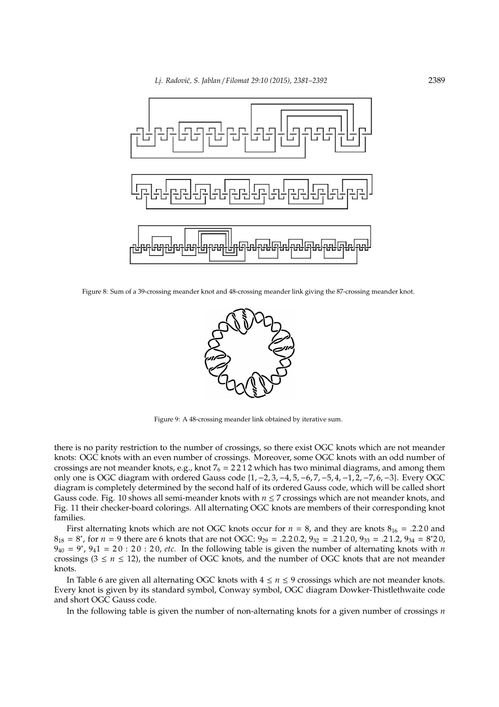

Figure 8: Sum of a 39-crossing meander knot and 48-crossing meander link giving the 87-crossing meander knot.



Figure 9: A 48-crossing meander link obtained by iterative sum.

there is no parity restriction to the number of crossings, so there exist OGC knots which are not meander knots: OGC knots with an even number of crossings. Moreover, some OGC knots with an odd number of crossings are not meander knots, e.g., knot  $7_6 = 2212$  which has two minimal diagrams, and among them only one is OGC diagram with ordered Gauss code {1, −2, 3, −4, 5, −6, 7, −5, 4,−1, 2,−7, 6, −3}. Every OGC diagram is completely determined by the second half of its ordered Gauss code, which will be called short Gauss code. Fig. 10 shows all semi-meander knots with  $n \le 7$  crossings which are not meander knots, and Fig. 11 their checker-board colorings. All alternating OGC knots are members of their corresponding knot families.

First alternating knots which are not OGC knots occur for  $n = 8$ , and they are knots  $8_{16} = .2.20$  and  $8_{18} = 8^*$ , for  $n = 9$  there are 6 knots that are not OGC:  $9_{29} = .2.2 \cdot 0.2$ ,  $9_{32} = .2 \cdot 1.2 \cdot 0.9_{33} = .2 \cdot 1.2$ ,  $9_{34} = 8^*2 \cdot 0.9$  $9_{40} = 9^*$ ,  $9_41 = 20 : 20 : 20$ , *etc.* In the following table is given the number of alternating knots with *n* crossings ( $3 \le n \le 12$ ), the number of OGC knots, and the number of OGC knots that are not meander knots.

In Table 6 are given all alternating OGC knots with  $4 ≤ n ≤ 9$  crossings which are not meander knots. Every knot is given by its standard symbol, Conway symbol, OGC diagram Dowker-Thistlethwaite code and short OGC Gauss code.

In the following table is given the number of non-alternating knots for a given number of crossings *n*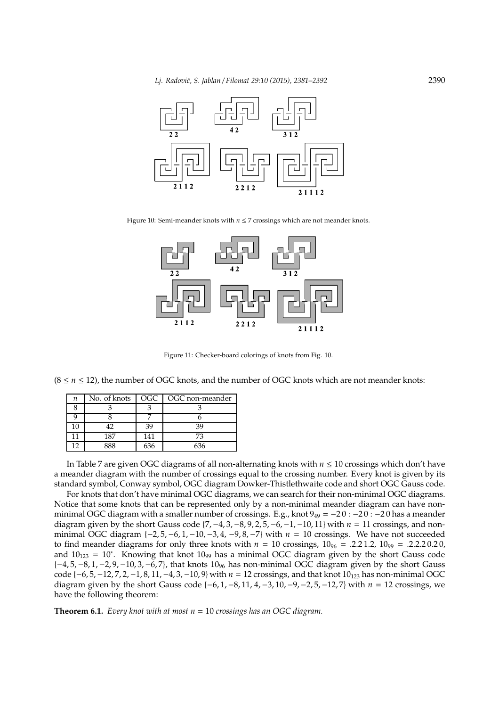

Figure 10: Semi-meander knots with *n* ≤ 7 crossings which are not meander knots.



Figure 11: Checker-board colorings of knots from Fig. 10.

 $(8 \le n \le 12)$ , the number of OGC knots, and the number of OGC knots which are not meander knots:

| п | No. of knots   OGC |     | OGC non-meander |
|---|--------------------|-----|-----------------|
|   |                    |     |                 |
|   |                    |     |                 |
|   |                    | 39  |                 |
|   | 187                | 141 | 73              |
|   | 2 Q                |     |                 |

In Table 7 are given OGC diagrams of all non-alternating knots with *n* ≤ 10 crossings which don't have a meander diagram with the number of crossings equal to the crossing number. Every knot is given by its standard symbol, Conway symbol, OGC diagram Dowker-Thistlethwaite code and short OGC Gauss code.

For knots that don't have minimal OGC diagrams, we can search for their non-minimal OGC diagrams. Notice that some knots that can be represented only by a non-minimal meander diagram can have nonminimal OGC diagram with a smaller number of crossings. E.g., knot  $9_{49} = -20$  :  $-20$  :  $-20$  has a meander diagram given by the short Gauss code {7, −4, 3, −8, 9, 2, 5,−6, −1, −10, 11} with *n* = 11 crossings, and nonminimal OGC diagram {−2, 5, −6, 1, −10,−3, 4, −9, 8, −7} with *n* = 10 crossings. We have not succeeded to find meander diagrams for only three knots with  $n = 10$  crossings,  $10_{96} = .2.21.2$ ,  $10_{99} = .2.2.20.20$ , and  $10_{123} = 10<sup>*</sup>$ . Knowing that knot  $10_{99}$  has a minimal OGC diagram given by the short Gauss code {−4, 5, −8, 1, −2, 9,−10, 3, −6, 7}, that knots 10<sup>96</sup> has non-minimal OGC diagram given by the short Gauss code {−6, 5, −12, 7, 2, −1, 8, 11, −4, 3, −10, 9} with *n* = 12 crossings, and that knot 10<sub>123</sub> has non-minimal OGC diagram given by the short Gauss code {−6, 1, −8, 11, 4, −3, 10, −9, −2, 5,−12, 7} with *n* = 12 crossings, we have the following theorem:

**Theorem 6.1.** *Every knot with at most n* = 10 *crossings has an OGC diagram.*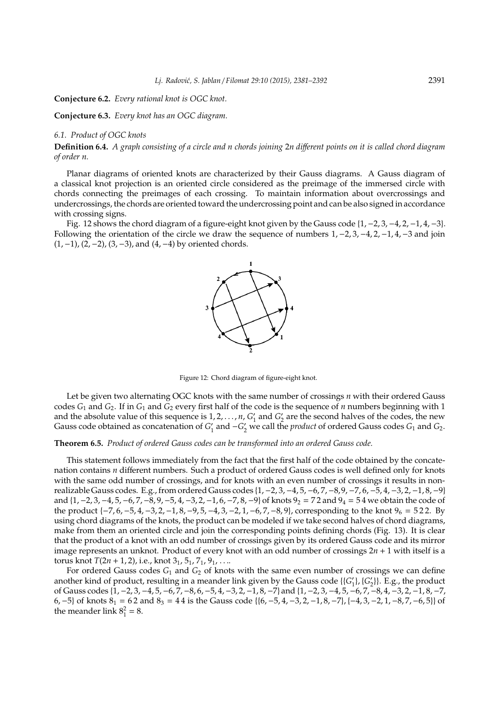**Conjecture 6.2.** *Every rational knot is OGC knot.*

**Conjecture 6.3.** *Every knot has an OGC diagram.*

# *6.1. Product of OGC knots*

**Definition 6.4.** *A graph consisting of a circle and n chords joining* 2*n di*ff*erent points on it is called chord diagram of order n.*

Planar diagrams of oriented knots are characterized by their Gauss diagrams. A Gauss diagram of a classical knot projection is an oriented circle considered as the preimage of the immersed circle with chords connecting the preimages of each crossing. To maintain information about overcrossings and undercrossings, the chords are oriented toward the undercrossing point and can be also signed in accordance with crossing signs.

Fig. 12 shows the chord diagram of a figure-eight knot given by the Gauss code {1, −2, 3, −4, 2, −1, 4, −3}. Following the orientation of the circle we draw the sequence of numbers  $1, -2, 3, -4, 2, -1, 4, -3$  and join  $(1, -1)$ ,  $(2, -2)$ ,  $(3, -3)$ , and  $(4, -4)$  by oriented chords.



Figure 12: Chord diagram of figure-eight knot.

Let be given two alternating OGC knots with the same number of crossings *n* with their ordered Gauss codes  $G_1$  and  $G_2$ . If in  $G_1$  and  $G_2$  every first half of the code is the sequence of *n* numbers beginning with 1 and the absolute value of this sequence is  $1, 2, ..., n$ ,  $G'_1$  and  $G'_2$  are the second halves of the codes, the new Gauss code obtained as concatenation of  $G'_1$  and  $-G'_2$  we call the *product* of ordered Gauss codes  $G_1$  and  $G_2$ .

## **Theorem 6.5.** *Product of ordered Gauss codes can be transformed into an ordered Gauss code.*

This statement follows immediately from the fact that the first half of the code obtained by the concatenation contains *n* different numbers. Such a product of ordered Gauss codes is well defined only for knots with the same odd number of crossings, and for knots with an even number of crossings it results in nonrealizable Gauss codes. E.g., from ordered Gauss codes {1, −2, 3, −4, 5, −6, 7,−8,9, −7, 6, −5, 4, −3, 2, −1, 8,−9} and  $\{1, -2, 3, -4, 5, -6, 7, -8, 9, -5, 4, -3, 2, -1, 6, -7, 8, -9\}$  of knots  $9_2 = 72$  and  $9_4 = 54$  we obtain the code of the product { $-7, 6, -5, 4, -3, 2, -1, 8, -9, 5, -4, 3, -2, 1, -6, 7, -8, 9$ }, corresponding to the knot  $9_6 = 522$ . By using chord diagrams of the knots, the product can be modeled if we take second halves of chord diagrams, make from them an oriented circle and join the corresponding points defining chords (Fig. 13). It is clear that the product of a knot with an odd number of crossings given by its ordered Gauss code and its mirror image represents an unknot. Product of every knot with an odd number of crossings 2*n* + 1 with itself is a torus knot  $T(2n + 1, 2)$ , i.e., knot  $3<sub>1</sub>$ ,  $5<sub>1</sub>$ ,  $7<sub>1</sub>$ ,  $9<sub>1</sub>$ , ...

For ordered Gauss codes *G*<sup>1</sup> and *G*<sup>2</sup> of knots with the same even number of crossings we can define another kind of product, resulting in a meander link given by the Gauss code {{*G*<sub>1</sub>}, {*G*<sub>2</sub>}}. E.g., the product of Gauss codes {1, −2, 3, −4, 5, −6, 7, −8, 6,−5, 4,−3, 2, −1, 8, −7}and {1, −2, 3, −4, 5, −6, 7, −8, 4, −3, 2, −1, 8, −7, 6,  $-5$ } of knots  $8_1 = 62$  and  $8_3 = 44$  is the Gauss code {{6,  $-5$ , 4,  $-3$ , 2,  $-1$ , 8,  $-7$ }, { $-4$ , 3,  $-2$ , 1,  $-8$ , 7,  $-6$ , 5}} of the meander link  $8^2_1 = 8$ .